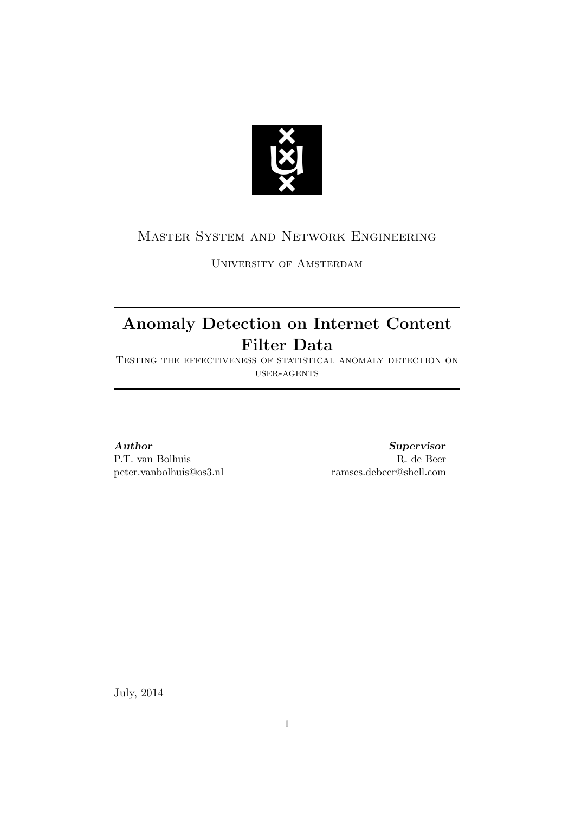

# Master System and Network Engineering

University of Amsterdam

# Anomaly Detection on Internet Content Filter Data

Testing the effectiveness of statistical anomaly detection on  $_{\rm{USER-AGENTS}}$ 

# Author

P.T. van Bolhuis peter.vanbolhuis@os3.nl

Supervisor R. de Beer ramses.debeer@shell.com

July, 2014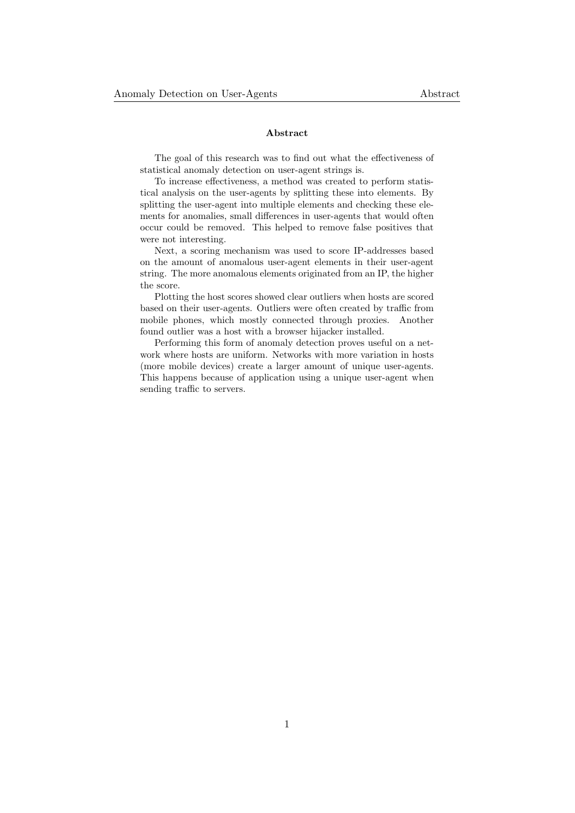#### Abstract

The goal of this research was to find out what the effectiveness of statistical anomaly detection on user-agent strings is.

To increase effectiveness, a method was created to perform statistical analysis on the user-agents by splitting these into elements. By splitting the user-agent into multiple elements and checking these elements for anomalies, small differences in user-agents that would often occur could be removed. This helped to remove false positives that were not interesting.

Next, a scoring mechanism was used to score IP-addresses based on the amount of anomalous user-agent elements in their user-agent string. The more anomalous elements originated from an IP, the higher the score.

Plotting the host scores showed clear outliers when hosts are scored based on their user-agents. Outliers were often created by traffic from mobile phones, which mostly connected through proxies. Another found outlier was a host with a browser hijacker installed.

Performing this form of anomaly detection proves useful on a network where hosts are uniform. Networks with more variation in hosts (more mobile devices) create a larger amount of unique user-agents. This happens because of application using a unique user-agent when sending traffic to servers.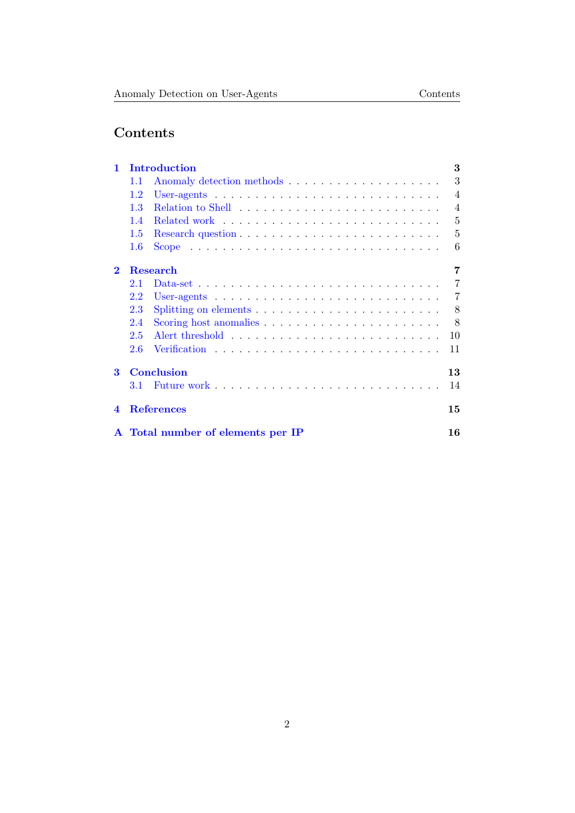# Contents

| 1                      |         | 3<br>Introduction                                                                       |                |  |
|------------------------|---------|-----------------------------------------------------------------------------------------|----------------|--|
|                        | 1.1     |                                                                                         | 3              |  |
|                        | 1.2     | User-agents $\ldots \ldots \ldots \ldots \ldots \ldots \ldots \ldots \ldots \ldots$     | $\overline{4}$ |  |
|                        | 1.3     |                                                                                         | $\overline{4}$ |  |
|                        | 1.4     |                                                                                         | 5              |  |
|                        | 1.5     |                                                                                         | $\overline{5}$ |  |
|                        | $1.6\,$ |                                                                                         | 6              |  |
| $\bf{2}$               |         | Research                                                                                | 7              |  |
|                        | 2.1     | Data-set $\ldots \ldots \ldots \ldots \ldots \ldots \ldots \ldots \ldots \ldots \ldots$ | 7              |  |
|                        | 2.2     | User-agents $\ldots \ldots \ldots \ldots \ldots \ldots \ldots \ldots \ldots \ldots$     | 7              |  |
|                        | 2.3     |                                                                                         | 8              |  |
|                        | 2.4     | Scoring host anomalies $\ldots$ , $\ldots$ , $\ldots$ , $\ldots$ , $\ldots$ , $\ldots$  | 8              |  |
|                        | 2.5     |                                                                                         | 10             |  |
|                        | 2.6     |                                                                                         | 11             |  |
| 3                      |         | Conclusion                                                                              | 13             |  |
|                        | 3.1     |                                                                                         | 14             |  |
| $\boldsymbol{\Lambda}$ |         | <b>References</b>                                                                       | 15             |  |
|                        |         | A Total number of elements per IP                                                       | 16             |  |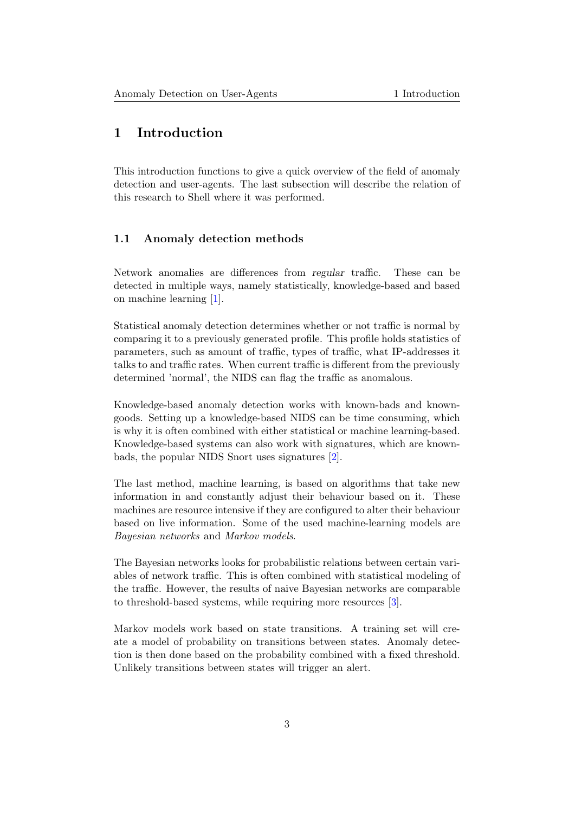# <span id="page-3-0"></span>1 Introduction

This introduction functions to give a quick overview of the field of anomaly detection and user-agents. The last subsection will describe the relation of this research to Shell where it was performed.

#### <span id="page-3-1"></span>1.1 Anomaly detection methods

Network anomalies are differences from regular traffic. These can be detected in multiple ways, namely statistically, knowledge-based and based on machine learning [\[1\]](#page-15-1).

Statistical anomaly detection determines whether or not traffic is normal by comparing it to a previously generated profile. This profile holds statistics of parameters, such as amount of traffic, types of traffic, what IP-addresses it talks to and traffic rates. When current traffic is different from the previously determined 'normal', the NIDS can flag the traffic as anomalous.

Knowledge-based anomaly detection works with known-bads and knowngoods. Setting up a knowledge-based NIDS can be time consuming, which is why it is often combined with either statistical or machine learning-based. Knowledge-based systems can also work with signatures, which are knownbads, the popular NIDS Snort uses signatures [\[2\]](#page-15-2).

The last method, machine learning, is based on algorithms that take new information in and constantly adjust their behaviour based on it. These machines are resource intensive if they are configured to alter their behaviour based on live information. Some of the used machine-learning models are Bayesian networks and Markov models.

The Bayesian networks looks for probabilistic relations between certain variables of network traffic. This is often combined with statistical modeling of the traffic. However, the results of naive Bayesian networks are comparable to threshold-based systems, while requiring more resources [\[3\]](#page-15-3).

<span id="page-3-2"></span>Markov models work based on state transitions. A training set will create a model of probability on transitions between states. Anomaly detection is then done based on the probability combined with a fixed threshold. Unlikely transitions between states will trigger an alert.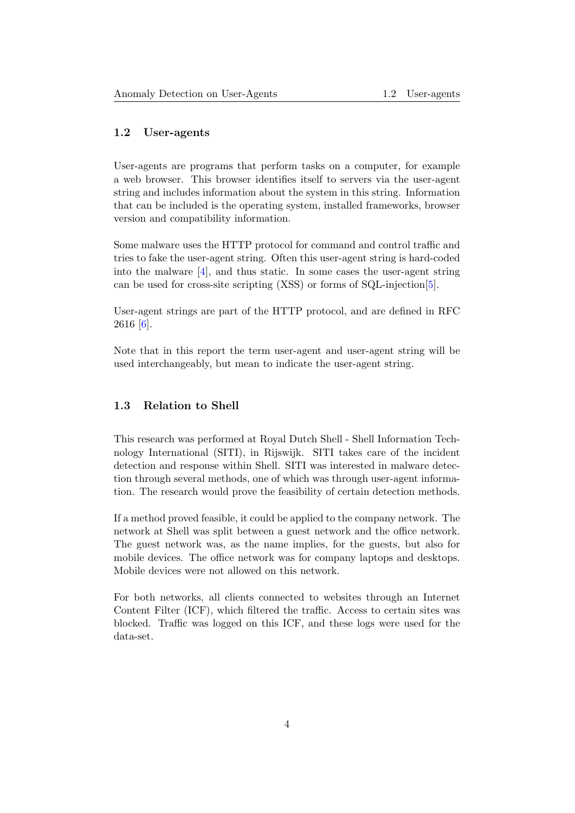#### 1.2 User-agents

User-agents are programs that perform tasks on a computer, for example a web browser. This browser identifies itself to servers via the user-agent string and includes information about the system in this string. Information that can be included is the operating system, installed frameworks, browser version and compatibility information.

Some malware uses the HTTP protocol for command and control traffic and tries to fake the user-agent string. Often this user-agent string is hard-coded into the malware  $[4]$ , and thus static. In some cases the user-agent string can be used for cross-site scripting (XSS) or forms of SQL-injection[\[5\]](#page-15-5).

User-agent strings are part of the HTTP protocol, and are defined in RFC 2616 [\[6\]](#page-15-6).

<span id="page-4-0"></span>Note that in this report the term user-agent and user-agent string will be used interchangeably, but mean to indicate the user-agent string.

#### 1.3 Relation to Shell

This research was performed at Royal Dutch Shell - Shell Information Technology International (SITI), in Rijswijk. SITI takes care of the incident detection and response within Shell. SITI was interested in malware detection through several methods, one of which was through user-agent information. The research would prove the feasibility of certain detection methods.

If a method proved feasible, it could be applied to the company network. The network at Shell was split between a guest network and the office network. The guest network was, as the name implies, for the guests, but also for mobile devices. The office network was for company laptops and desktops. Mobile devices were not allowed on this network.

<span id="page-4-1"></span>For both networks, all clients connected to websites through an Internet Content Filter (ICF), which filtered the traffic. Access to certain sites was blocked. Traffic was logged on this ICF, and these logs were used for the data-set.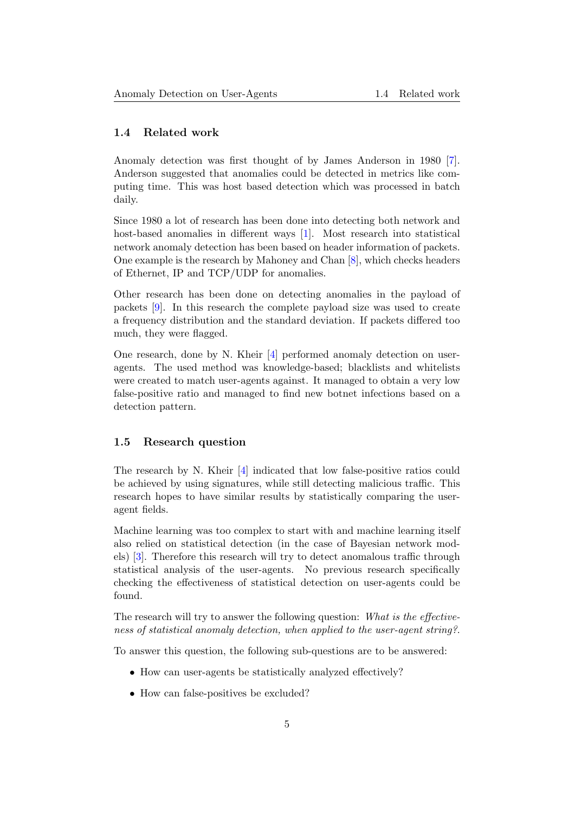#### 1.4 Related work

Anomaly detection was first thought of by James Anderson in 1980 [\[7\]](#page-15-7). Anderson suggested that anomalies could be detected in metrics like computing time. This was host based detection which was processed in batch daily.

Since 1980 a lot of research has been done into detecting both network and host-based anomalies in different ways [\[1\]](#page-15-1). Most research into statistical network anomaly detection has been based on header information of packets. One example is the research by Mahoney and Chan [\[8\]](#page-15-8), which checks headers of Ethernet, IP and TCP/UDP for anomalies.

Other research has been done on detecting anomalies in the payload of packets [\[9\]](#page-15-9). In this research the complete payload size was used to create a frequency distribution and the standard deviation. If packets differed too much, they were flagged.

One research, done by N. Kheir [\[4\]](#page-15-4) performed anomaly detection on useragents. The used method was knowledge-based; blacklists and whitelists were created to match user-agents against. It managed to obtain a very low false-positive ratio and managed to find new botnet infections based on a detection pattern.

#### <span id="page-5-0"></span>1.5 Research question

The research by N. Kheir [\[4\]](#page-15-4) indicated that low false-positive ratios could be achieved by using signatures, while still detecting malicious traffic. This research hopes to have similar results by statistically comparing the useragent fields.

Machine learning was too complex to start with and machine learning itself also relied on statistical detection (in the case of Bayesian network models) [\[3\]](#page-15-3). Therefore this research will try to detect anomalous traffic through statistical analysis of the user-agents. No previous research specifically checking the effectiveness of statistical detection on user-agents could be found.

The research will try to answer the following question: What is the effectiveness of statistical anomaly detection, when applied to the user-agent string?.

To answer this question, the following sub-questions are to be answered:

- How can user-agents be statistically analyzed effectively?
- <span id="page-5-1"></span>• How can false-positives be excluded?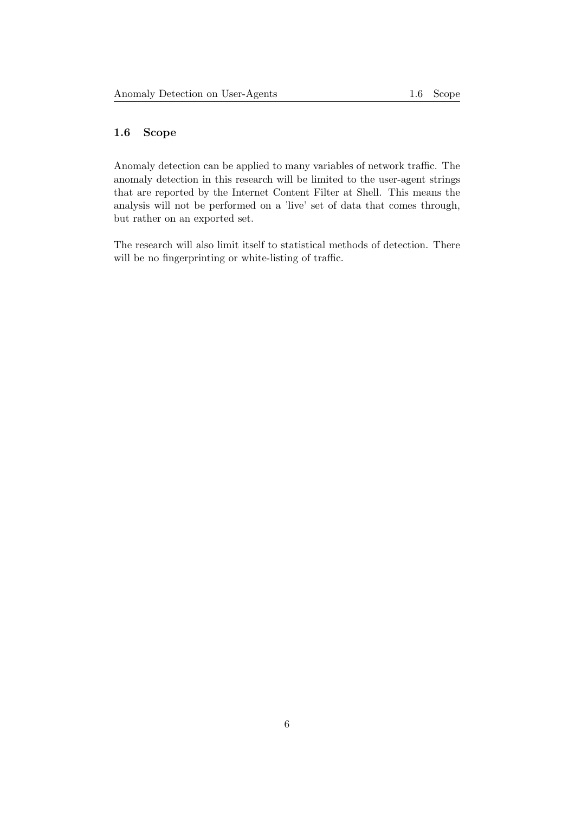### 1.6 Scope

Anomaly detection can be applied to many variables of network traffic. The anomaly detection in this research will be limited to the user-agent strings that are reported by the Internet Content Filter at Shell. This means the analysis will not be performed on a 'live' set of data that comes through, but rather on an exported set.

The research will also limit itself to statistical methods of detection. There will be no fingerprinting or white-listing of traffic.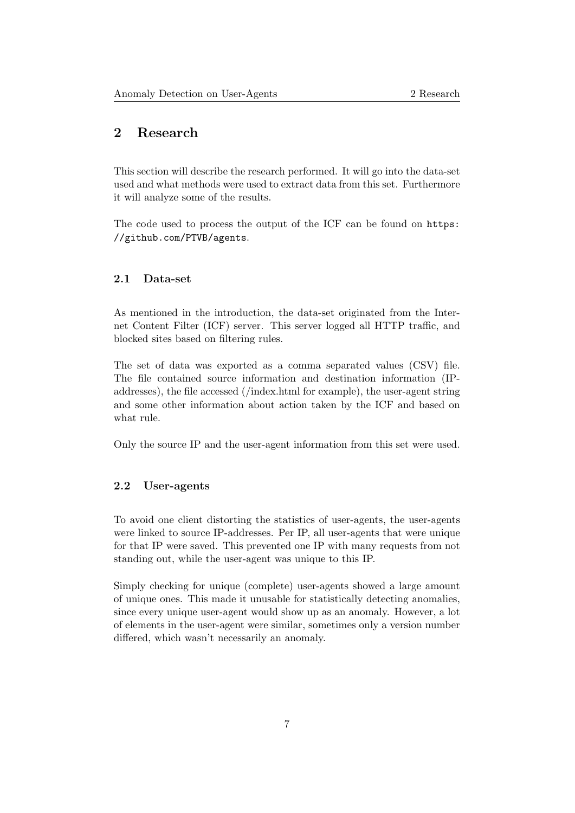# <span id="page-7-0"></span>2 Research

This section will describe the research performed. It will go into the data-set used and what methods were used to extract data from this set. Furthermore it will analyze some of the results.

<span id="page-7-1"></span>The code used to process the output of the ICF can be found on [https:](https://github.com/PTVB/agents) [//github.com/PTVB/agents](https://github.com/PTVB/agents).

#### 2.1 Data-set

As mentioned in the introduction, the data-set originated from the Internet Content Filter (ICF) server. This server logged all HTTP traffic, and blocked sites based on filtering rules.

The set of data was exported as a comma separated values (CSV) file. The file contained source information and destination information (IPaddresses), the file accessed (/index.html for example), the user-agent string and some other information about action taken by the ICF and based on what rule.

<span id="page-7-2"></span>Only the source IP and the user-agent information from this set were used.

#### 2.2 User-agents

To avoid one client distorting the statistics of user-agents, the user-agents were linked to source IP-addresses. Per IP, all user-agents that were unique for that IP were saved. This prevented one IP with many requests from not standing out, while the user-agent was unique to this IP.

<span id="page-7-3"></span>Simply checking for unique (complete) user-agents showed a large amount of unique ones. This made it unusable for statistically detecting anomalies, since every unique user-agent would show up as an anomaly. However, a lot of elements in the user-agent were similar, sometimes only a version number differed, which wasn't necessarily an anomaly.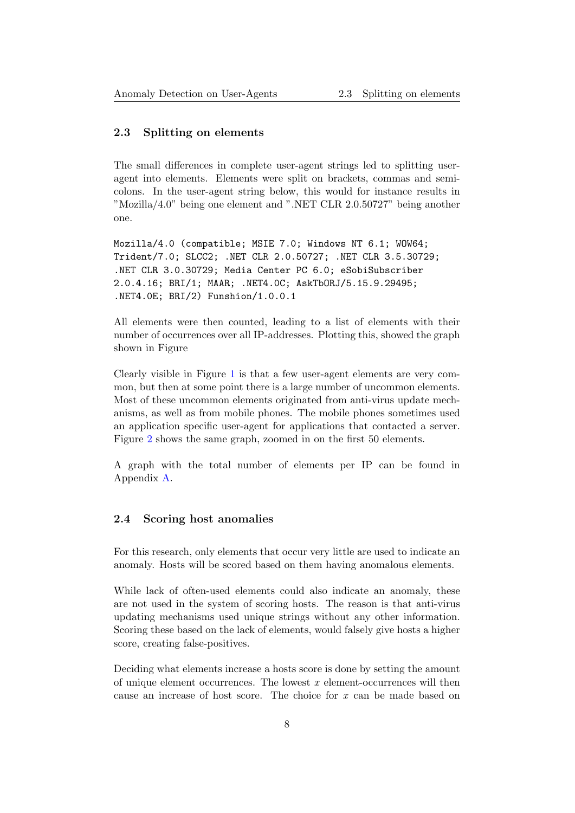#### 2.3 Splitting on elements

The small differences in complete user-agent strings led to splitting useragent into elements. Elements were split on brackets, commas and semicolons. In the user-agent string below, this would for instance results in "Mozilla/4.0" being one element and ".NET CLR 2.0.50727" being another one.

Mozilla/4.0 (compatible; MSIE 7.0; Windows NT 6.1; WOW64; Trident/7.0; SLCC2; .NET CLR 2.0.50727; .NET CLR 3.5.30729; .NET CLR 3.0.30729; Media Center PC 6.0; eSobiSubscriber 2.0.4.16; BRI/1; MAAR; .NET4.0C; AskTbORJ/5.15.9.29495; .NET4.0E; BRI/2) Funshion/1.0.0.1

All elements were then counted, leading to a list of elements with their number of occurrences over all IP-addresses. Plotting this, showed the graph shown in Figure

Clearly visible in Figure [1](#page-9-0) is that a few user-agent elements are very common, but then at some point there is a large number of uncommon elements. Most of these uncommon elements originated from anti-virus update mechanisms, as well as from mobile phones. The mobile phones sometimes used an application specific user-agent for applications that contacted a server. Figure [2](#page-9-0) shows the same graph, zoomed in on the first 50 elements.

<span id="page-8-0"></span>A graph with the total number of elements per IP can be found in Appendix [A.](#page-16-0)

### 2.4 Scoring host anomalies

For this research, only elements that occur very little are used to indicate an anomaly. Hosts will be scored based on them having anomalous elements.

While lack of often-used elements could also indicate an anomaly, these are not used in the system of scoring hosts. The reason is that anti-virus updating mechanisms used unique strings without any other information. Scoring these based on the lack of elements, would falsely give hosts a higher score, creating false-positives.

Deciding what elements increase a hosts score is done by setting the amount of unique element occurrences. The lowest  $x$  element-occurrences will then cause an increase of host score. The choice for x can be made based on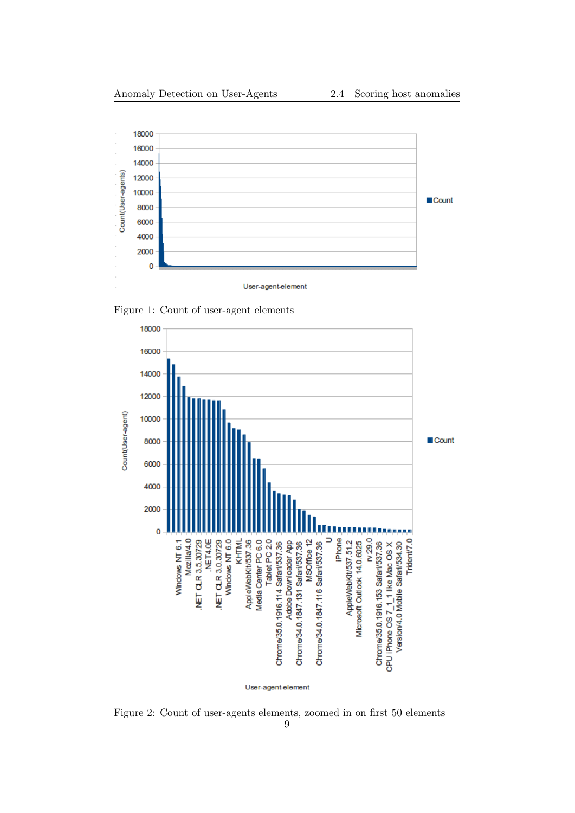<span id="page-9-0"></span>

User-agent-element

Figure 1: Count of user-agent elements



Figure 2: Count of user-agents elements, zoomed in on first 50 elements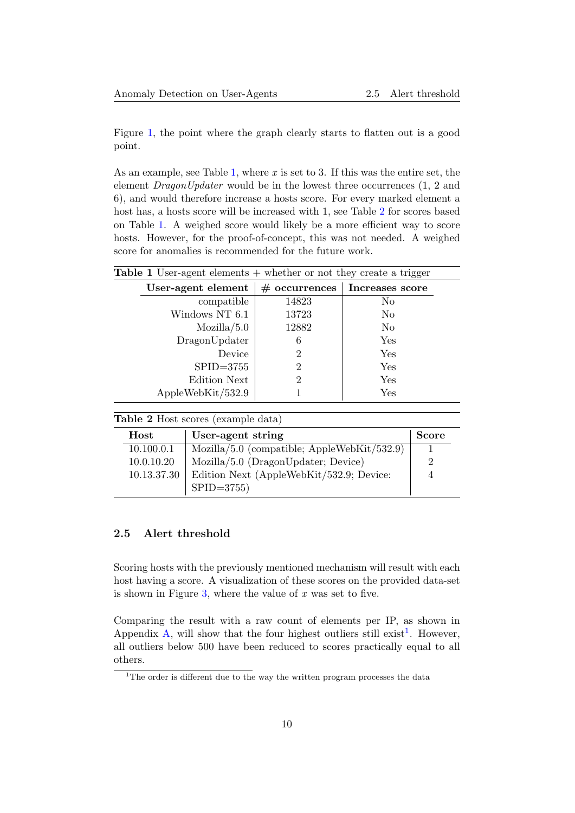Figure [1,](#page-9-0) the point where the graph clearly starts to flatten out is a good point.

As an example, see Table [1,](#page-10-1) where  $x$  is set to 3. If this was the entire set, the element DragonUpdater would be in the lowest three occurrences (1, 2 and 6), and would therefore increase a hosts score. For every marked element a host has, a hosts score will be increased with 1, see Table [2](#page-10-2) for scores based on Table [1.](#page-10-1) A weighed score would likely be a more efficient way to score hosts. However, for the proof-of-concept, this was not needed. A weighed score for anomalies is recommended for the future work.

<span id="page-10-1"></span>

| <b>Table 1</b> User-agent elements $+$ whether or not they create a trigger |                    |                 |                 |  |
|-----------------------------------------------------------------------------|--------------------|-----------------|-----------------|--|
|                                                                             | User-agent element | $#$ occurrences | Increases score |  |
|                                                                             | compatible         | 14823           | No              |  |
|                                                                             | Windows NT 6.1     | 13723           | No              |  |
|                                                                             | Mozilla/5.0        | 12882           | N <sub>o</sub>  |  |
|                                                                             | DragonUpdater      | 6               | Yes             |  |
|                                                                             | Device             | $\overline{2}$  | Yes             |  |
|                                                                             | $SPID = 3755$      | $\overline{2}$  | <b>Yes</b>      |  |
|                                                                             | Edition Next       | $\overline{2}$  | Yes             |  |
|                                                                             | AppleWebKit/532.9  |                 | Yes             |  |

<span id="page-10-2"></span>

|  |  | Table 2 Host scores (example data) |
|--|--|------------------------------------|
|--|--|------------------------------------|

| $\rm Host$  | User-agent string                           | <b>Score</b> |
|-------------|---------------------------------------------|--------------|
| 10.100.0.1  | Mozilla/5.0 (compatible; AppleWebKit/532.9) |              |
| 10.0.10.20  | $Mozilla/5.0$ (DragonUpdater; Device)       |              |
| 10.13.37.30 | Edition Next (AppleWebKit/532.9; Device:    |              |
|             | $SPID = 3755$                               |              |

#### <span id="page-10-0"></span>2.5 Alert threshold

Scoring hosts with the previously mentioned mechanism will result with each host having a score. A visualization of these scores on the provided data-set is shown in Figure [3,](#page-11-1) where the value of  $x$  was set to five.

Comparing the result with a raw count of elements per IP, as shown in Appendix [A,](#page-16-0) will show that the four highest outliers still exist<sup>[1](#page-10-3)</sup>. However, all outliers below 500 have been reduced to scores practically equal to all others.

<span id="page-10-3"></span><sup>&</sup>lt;sup>1</sup>The order is different due to the way the written program processes the data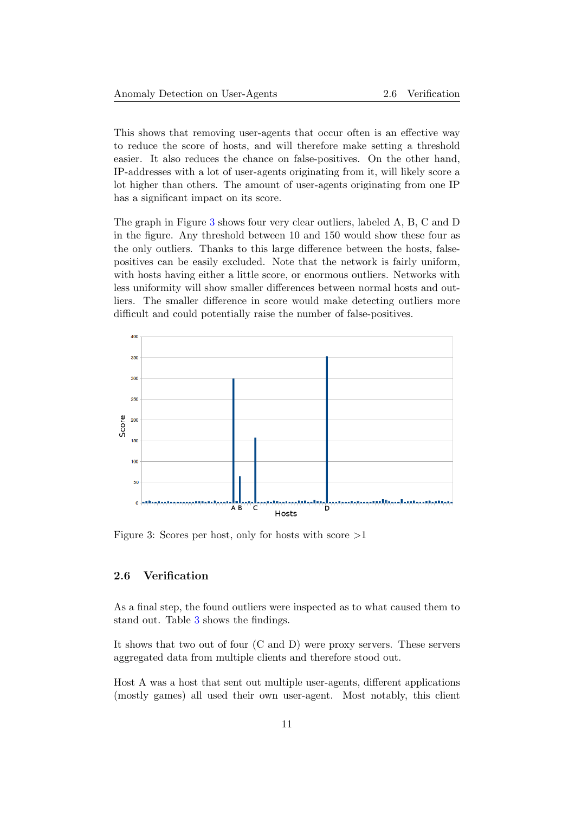This shows that removing user-agents that occur often is an effective way to reduce the score of hosts, and will therefore make setting a threshold easier. It also reduces the chance on false-positives. On the other hand, IP-addresses with a lot of user-agents originating from it, will likely score a lot higher than others. The amount of user-agents originating from one IP has a significant impact on its score.

The graph in Figure [3](#page-11-1) shows four very clear outliers, labeled A, B, C and D in the figure. Any threshold between 10 and 150 would show these four as the only outliers. Thanks to this large difference between the hosts, falsepositives can be easily excluded. Note that the network is fairly uniform, with hosts having either a little score, or enormous outliers. Networks with less uniformity will show smaller differences between normal hosts and outliers. The smaller difference in score would make detecting outliers more difficult and could potentially raise the number of false-positives.

<span id="page-11-1"></span>

<span id="page-11-0"></span>Figure 3: Scores per host, only for hosts with score  $>1$ 

#### 2.6 Verification

As a final step, the found outliers were inspected as to what caused them to stand out. Table [3](#page-12-0) shows the findings.

It shows that two out of four (C and D) were proxy servers. These servers aggregated data from multiple clients and therefore stood out.

Host A was a host that sent out multiple user-agents, different applications (mostly games) all used their own user-agent. Most notably, this client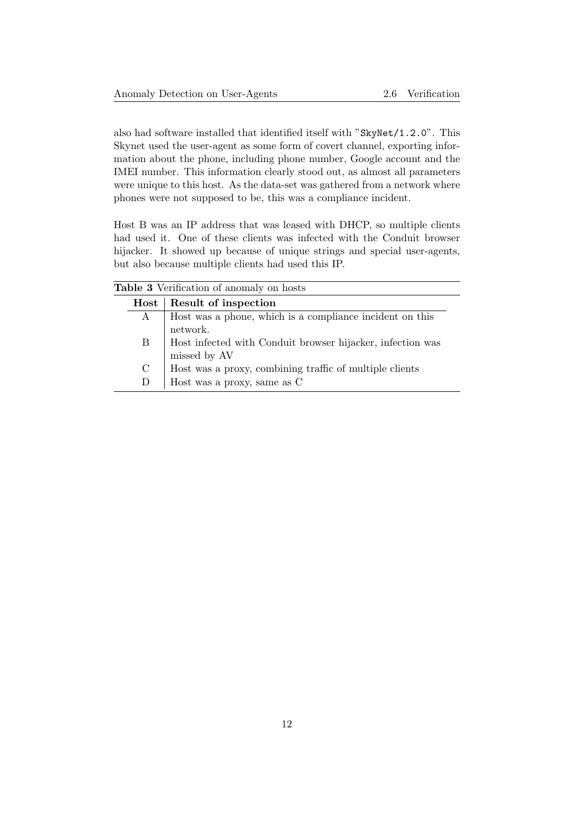also had software installed that identified itself with "SkyNet/1.2.0". This Skynet used the user-agent as some form of covert channel, exporting information about the phone, including phone number, Google account and the IMEI number. This information clearly stood out, as almost all parameters were unique to this host. As the data-set was gathered from a network where phones were not supposed to be, this was a compliance incident.

Host B was an IP address that was leased with DHCP, so multiple clients had used it. One of these clients was infected with the Conduit browser hijacker. It showed up because of unique strings and special user-agents, but also because multiple clients had used this IP.

<span id="page-12-0"></span>

| <b>Table 3</b> Verification of anomaly on hosts |                        |                                                                            |  |
|-------------------------------------------------|------------------------|----------------------------------------------------------------------------|--|
|                                                 | $\operatorname*{Host}$ | Result of inspection                                                       |  |
|                                                 | A                      | Host was a phone, which is a compliance incident on this<br>network.       |  |
|                                                 | Β                      | Host infected with Conduit browser hijacker, infection was<br>missed by AV |  |
|                                                 | $\mathcal{C}$          | Host was a proxy, combining traffic of multiple clients                    |  |
|                                                 | D                      | Host was a proxy, same as C                                                |  |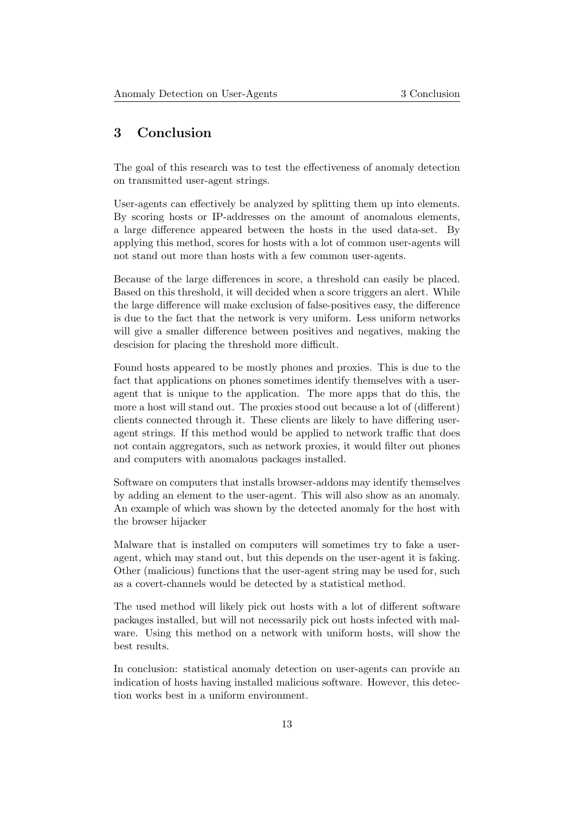# <span id="page-13-0"></span>3 Conclusion

The goal of this research was to test the effectiveness of anomaly detection on transmitted user-agent strings.

User-agents can effectively be analyzed by splitting them up into elements. By scoring hosts or IP-addresses on the amount of anomalous elements, a large difference appeared between the hosts in the used data-set. By applying this method, scores for hosts with a lot of common user-agents will not stand out more than hosts with a few common user-agents.

Because of the large differences in score, a threshold can easily be placed. Based on this threshold, it will decided when a score triggers an alert. While the large difference will make exclusion of false-positives easy, the difference is due to the fact that the network is very uniform. Less uniform networks will give a smaller difference between positives and negatives, making the descision for placing the threshold more difficult.

Found hosts appeared to be mostly phones and proxies. This is due to the fact that applications on phones sometimes identify themselves with a useragent that is unique to the application. The more apps that do this, the more a host will stand out. The proxies stood out because a lot of (different) clients connected through it. These clients are likely to have differing useragent strings. If this method would be applied to network traffic that does not contain aggregators, such as network proxies, it would filter out phones and computers with anomalous packages installed.

Software on computers that installs browser-addons may identify themselves by adding an element to the user-agent. This will also show as an anomaly. An example of which was shown by the detected anomaly for the host with the browser hijacker

Malware that is installed on computers will sometimes try to fake a useragent, which may stand out, but this depends on the user-agent it is faking. Other (malicious) functions that the user-agent string may be used for, such as a covert-channels would be detected by a statistical method.

The used method will likely pick out hosts with a lot of different software packages installed, but will not necessarily pick out hosts infected with malware. Using this method on a network with uniform hosts, will show the best results.

<span id="page-13-1"></span>In conclusion: statistical anomaly detection on user-agents can provide an indication of hosts having installed malicious software. However, this detection works best in a uniform environment.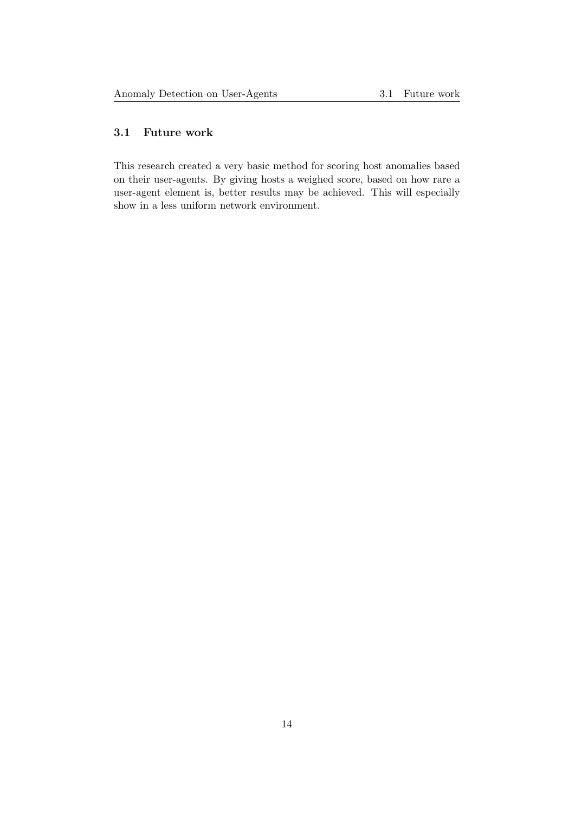### 3.1 Future work

This research created a very basic method for scoring host anomalies based on their user-agents. By giving hosts a weighed score, based on how rare a user-agent element is, better results may be achieved. This will especially show in a less uniform network environment.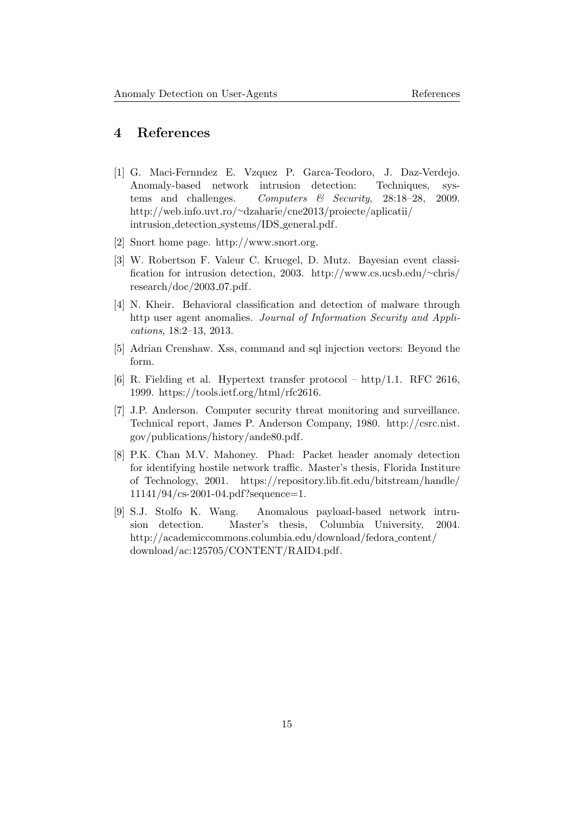# <span id="page-15-0"></span>4 References

- <span id="page-15-1"></span>[1] G. Maci-Fernndez E. Vzquez P. Garca-Teodoro, J. Daz-Verdejo. Anomaly-based network intrusion detection: Techniques, systems and challenges. Computers  $\mathcal{C}$  Security, 28:18-28, 2009. http://web.info.uvt.ro/∼[dzaharie/cne2013/proiecte/aplicatii/](http://web.info.uvt.ro/~dzaharie/cne2013/proiecte/aplicatii/intrusion_detection_systems/IDS_general.pdf) intrusion detection [systems/IDS](http://web.info.uvt.ro/~dzaharie/cne2013/proiecte/aplicatii/intrusion_detection_systems/IDS_general.pdf) general.pdf.
- <span id="page-15-2"></span>[2] Snort home page. [http://www.snort.org.](http://www.snort.org)
- <span id="page-15-3"></span>[3] W. Robertson F. Valeur C. Kruegel, D. Mutz. Bayesian event classification for intrusion detection, 2003. [http://www.cs.ucsb.edu/](http://www.cs.ucsb.edu/~chris/research/doc/2003_07.pdf)∼chris/  $research/doc/2003_07.pdf$  $research/doc/2003_07.pdf$ .
- <span id="page-15-4"></span>[4] N. Kheir. Behavioral classification and detection of malware through http user agent anomalies. Journal of Information Security and Applications, 18:2–13, 2013.
- <span id="page-15-5"></span>[5] Adrian Crenshaw. Xss, command and sql injection vectors: Beyond the form.
- <span id="page-15-6"></span>[6] R. Fielding et al. Hypertext transfer protocol – http/1.1. RFC 2616, 1999. [https://tools.ietf.org/html/rfc2616.](https://tools.ietf.org/html/rfc2616)
- <span id="page-15-7"></span>[7] J.P. Anderson. Computer security threat monitoring and surveillance. Technical report, James P. Anderson Company, 1980. [http://csrc.nist.](http://csrc.nist.gov/publications/history/ande80.pdf) [gov/publications/history/ande80.pdf.](http://csrc.nist.gov/publications/history/ande80.pdf)
- <span id="page-15-8"></span>[8] P.K. Chan M.V. Mahoney. Phad: Packet header anomaly detection for identifying hostile network traffic. Master's thesis, Florida Institure of Technology, 2001. [https://repository.lib.fit.edu/bitstream/handle/](https://repository.lib.fit.edu/bitstream/handle/11141/94/cs-2001-04.pdf?sequence=1) [11141/94/cs-2001-04.pdf?sequence=1.](https://repository.lib.fit.edu/bitstream/handle/11141/94/cs-2001-04.pdf?sequence=1)
- <span id="page-15-9"></span>[9] S.J. Stolfo K. Wang. Anomalous payload-based network intrusion detection. Master's thesis, Columbia University, 2004. [http://academiccommons.columbia.edu/download/fedora](http://academiccommons.columbia.edu/download/fedora_content/download/ac:125705/CONTENT/RAID4.pdf) content/ [download/ac:125705/CONTENT/RAID4.pdf.](http://academiccommons.columbia.edu/download/fedora_content/download/ac:125705/CONTENT/RAID4.pdf)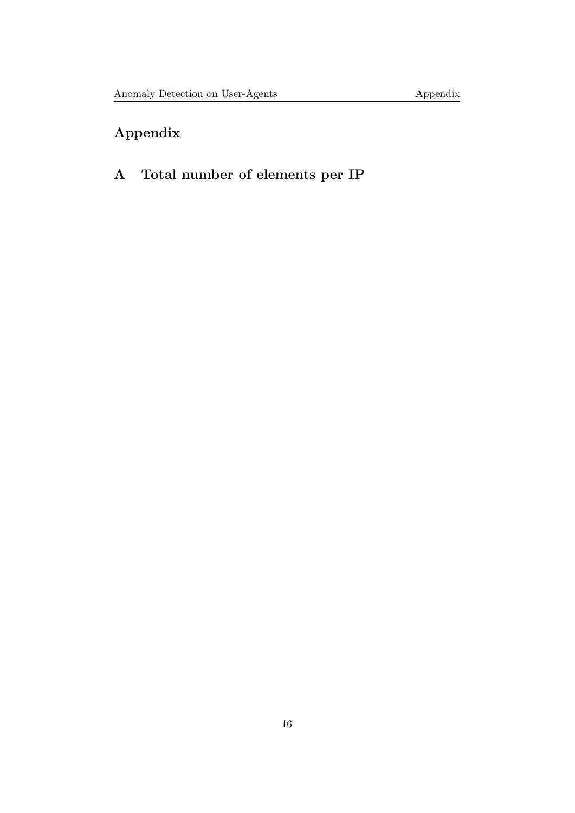# Appendix

# <span id="page-16-0"></span>A Total number of elements per IP